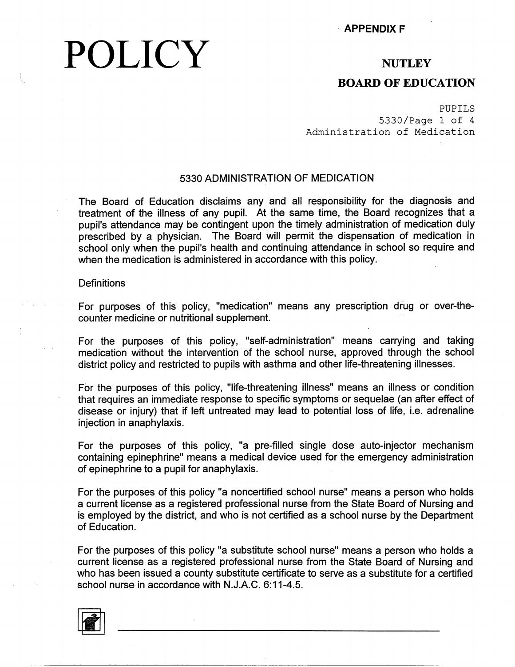# **POLICY** APPENDIX F

#### **NUTLEY**

#### **BOARD OF EDUCATION**

PUPILS 5330/Page 1 of 4 Administration of Medication

#### 5330 ADMINISTRATION OF MEDICATION

The Board of Education disclaims any and all responsibility for the diagnosis and treatment of the illness of any pupil. At the same time, the Board recognizes that a pupil's attendance may be contingent upon the timely administration of medication duly prescribed by a physician. The Board will permit the dispensation of medication in school only when the pupil's health and continuing attendance in school so require and when the medication is administered in accordance with this policy.

#### **Definitions**

For purposes of this policy, "medication" means any prescription drug or over-thecounter medicine or nutritional supplement.

For the purposes of this policy, "self-administration" means carrying and taking medication without the intervention of the school nurse, approved through the school district policy and restricted to pupils with asthma and other life-threatening illnesses.

For the purposes of this policy, "life-threatening illness" means an illness or condition that requires an immediate response to specific symptoms or sequelae (an after effect of disease or injury) that if left untreated may lead to potential loss of life, i.e. adrenaline injection in anaphylaxis.

For the purposes of this policy, "a pre-filled single dose auto-injector mechanism containing epinephrine" means a medical device used for the emergency administration of epinephrine to a pupil for anaphylaxis.

For the purposes of this policy "a noncertified school nurse" means a person who holds a current license as a registered professional nurse from the State Board of Nursing and is employed by the district, and who is not certified as a school nurse by the Department of Education.

For the purposes of this policy "a substitute school nurse" means a person who holds a current license as a registered professional nurse from the State Board of Nursing and who has been issued a county substitute certificate to serve as a substitute for a certified school nurse in accordance with N.J.A.C. 6:11-4.5.

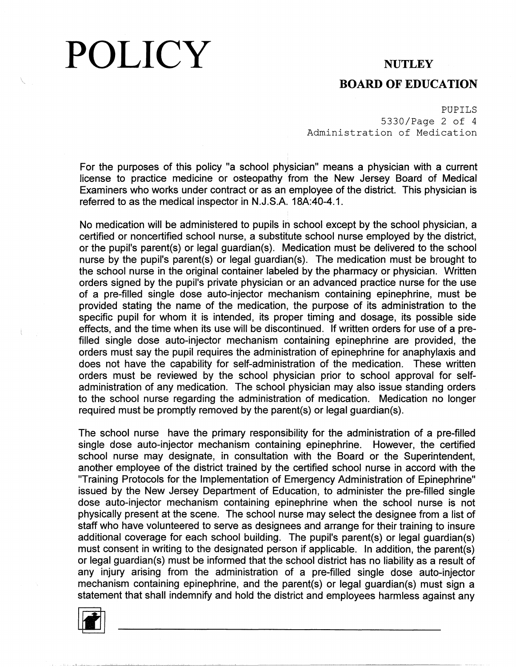## POLICY

#### **NUTLEY**

#### **BOARD OF EDUCATION**

PUPILS 5330/Page 2 of 4 Administration of Medication

For the purposes of this policy "a school physician" means a physician with a current license to practice medicine or osteopathy from the New Jersey Board of Medical Examiners who works under contract or as an employee of the district. This physician is referred to as the medical inspector in N.J.S.A. 18A:40-4.1.

No medication will be administered to pupils in school except by the school physician, a certified or noncertified school nurse, a substitute school nurse employed by the district, or the pupil's parent(s) or legal guardian(s). Medication must be delivered to the school nurse by the pupil's parent(s) or legal guardian(s). The medication must be brought to the school nurse in the original container labeled by the pharmacy or physician. Written orders signed by the pupil's private physician or an advanced practice nurse for the use of a pre-filled single dose auto-injector mechanism containing epinephrine, must be provided stating the name of the medication, the purpose of its administration to the specific pupil for whom it is intended, its proper timing and dosage, its possible side effects, and the time when its use will be discontinued. If written orders for use of a prefilled single dose auto-injector mechanism containing epinephrine are provided, the orders must say the pupil requires the administration of epinephrine for anaphylaxis and does not have the capability for self-administration of the medication. These written orders must be reviewed by the school physician prior to school approval for selfadministration of any medication. The school physician may also issue standing orders to the school nurse regarding the administration of medication. Medication no longer required must be promptly removed by the parent(s) or legal guardian(s).

The school nurse have the primary responsibility for the administration of a pre-filled single dose auto-injector mechanism containing epinephrine. However, the certified school nurse may designate, in consultation with the Board or the Superintendent, another employee of the district trained by the certified school nurse in accord with the "Training Protocols for, the Implementation of Emergency Administration of Epinephrine" issued by the New Jersey Department of Education, to administer the pre-filled single dose auto-injector mechanism containing epinephrine when the school nurse is not physically present at the scene. The school nurse may select the designee from a list of staff who have volunteered to serve as designees and arrange for their training to insure additional coverage for each school building. The pupil's parent(s) or legal guardian(s) must consent in writing to the designated person if applicable. In addition, the parent(s) or legal guardian(s) must be informed that the school district has no liability as a result of any injury arising from the administration of a pre-filled single dose auto-injector mechanism containing epinephrine, and the parent(s) or legal guardian(s) must sign a statement that shall indemnify and hold the district and employees harmless against any



I,,, \_l\_.....L\_,~---~~~~~~~~~~-~-----------------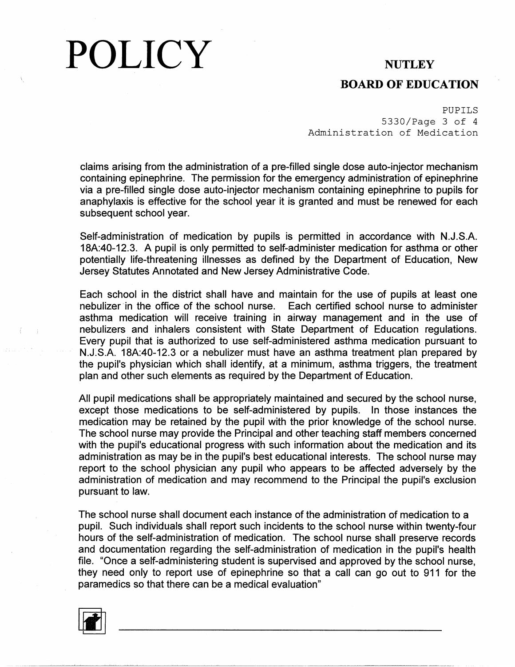### POLICY **NUTLEY**

### **BOARD OF EDUCATION**

PUPILS 5330/Page 3 of 4 Administration of Medication

claims arising from the administration of a pre-filled single dose auto-injector mechanism containing epinephrine. The permission for the emergency administration of epinephrine via a pre-filled single dose auto-injector mechanism containing epinephrine to pupils for anaphylaxis is effective for the school year it is granted and must be renewed for each subsequent school year.

Self-administration of medication by pupils is permitted in accordance with N.J.S.A. 18A:40-12.3. A pupil is only permitted to self-administer medication for asthma or other potentially life-threatening illnesses as defined by the Department of Education, New Jersey Statutes Annotated and New Jersey Administrative Code.

Each school in the district shall have and maintain for the use of pupils at least one nebulizer in the office of the school nurse. Each certified school nurse to administer asthma medication will receive training in airway management and in the use of nebulizers and inhalers consistent with State Department of Education regulations. Every pupil that is authorized to use self-administered asthma medication pursuant to N.SS.A. 18A:40-12.3 or a nebulizer must have an asthma treatment plan prepared by the pupil's physician which shall identify, at a minimum, asthma triggers, the treatment plan and other such elements as required by the Department of Education.

All pupil medications shall be appropriately maintained and secured by the school nurse, except those medications to be self-administered by pupils. In those instances the medication may be retained by the pupil with the prior knowledge of the school nurse. The school nurse may provide the Principal and other teaching staff members concerned with the pupil's educational progress with such information about the medication and its administration as may be in the pupil's best educational interests. The school nurse may report to the school physician any pupil who appears to be affected adversely by the administration of medication and may recommend to the Principal the pupil's exclusion pursuant to law.

The school nurse shall document each instance of the administration of medication to a pupil. Such individuals shall report such incidents to the school nurse within twenty-four hours of the self-administration of medication. The school nurse shall preserve records and documentation regarding the self-administration of medication in the pupil's health file. "Once a self-administering student is supervised and approved by the school nurse, they need only to report use of epinephrine so that a call can go out to 911 for the paramedics so that there can be a medical evaluation"